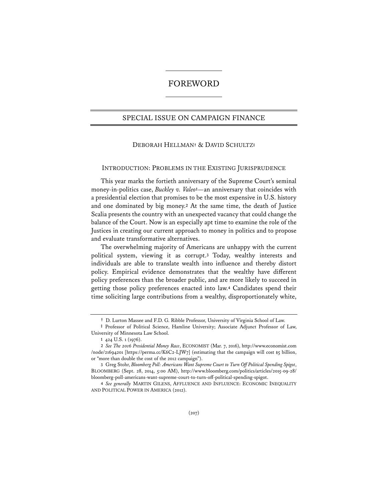# FOREWORD

# SPECIAL ISSUE ON CAMPAIGN FINANCE

# DEBORAH HELLMAN**†** & DAVID SCHULTZ**‡**

#### INTRODUCTION: PROBLEMS IN THE EXISTING JURISPRUDENCE

This year marks the fortieth anniversary of the Supreme Court's seminal money-in-politics case, *Buckley v. Valeo***<sup>1</sup>**—an anniversary that coincides with a presidential election that promises to be the most expensive in U.S. history and one dominated by big money.**<sup>2</sup>** At the same time, the death of Justice Scalia presents the country with an unexpected vacancy that could change the balance of the Court. Now is an especially apt time to examine the role of the Justices in creating our current approach to money in politics and to propose and evaluate transformative alternatives.

The overwhelming majority of Americans are unhappy with the current political system, viewing it as corrupt.**<sup>3</sup>** Today, wealthy interests and individuals are able to translate wealth into influence and thereby distort policy. Empirical evidence demonstrates that the wealthy have different policy preferences than the broader public, and are more likely to succeed in getting those policy preferences enacted into law.**<sup>4</sup>** Candidates spend their time soliciting large contributions from a wealthy, disproportionately white,

**<sup>†</sup>** D. Lurton Massee and F.D. G. Ribble Professor, University of Virginia School of Law.

**<sup>‡</sup>** Professor of Political Science, Hamline University; Associate Adjunct Professor of Law, University of Minnesota Law School.

**<sup>1</sup>** 424 U.S. 1 (1976).

**<sup>2</sup>** *See The 2016 Presidential Money Race*, ECONOMIST (Mar. 7, 2016), http://www.economist.com /node/21694201 [https://perma.cc/K6C2-LJW7] (estimating that the campaign will cost  $\frac{1}{5}$  billion, or "more than double the cost of the 2012 campaign").

**<sup>3</sup>** Greg Stohr, *Bloomberg Poll: Americans Want Supreme Court to Turn Off Political Spending Spigot*, BLOOMBERG (Sept. 28, 2014, 5:00 AM), http://www.bloomberg.com/politics/articles/2015-09-28/ bloomberg-poll-americans-want-supreme-court-to-turn-off-political-spending-spigot.

**<sup>4</sup>** *See generally* MARTIN GILENS, AFFLUENCE AND INFLUENCE: ECONOMIC INEQUALITY AND POLITICAL POWER IN AMERICA (2012).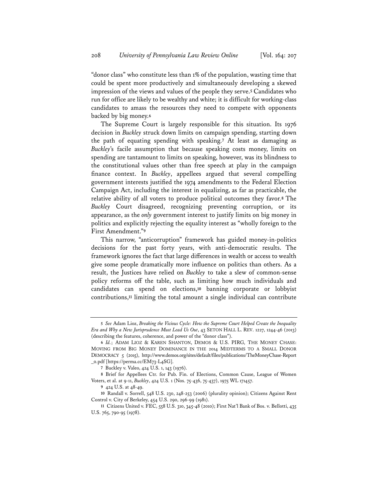"donor class" who constitute less than 1% of the population, wasting time that could be spent more productively and simultaneously developing a skewed impression of the views and values of the people they serve.**<sup>5</sup>** Candidates who run for office are likely to be wealthy and white; it is difficult for working-class candidates to amass the resources they need to compete with opponents backed by big money.**<sup>6</sup>**

The Supreme Court is largely responsible for this situation. Its 1976 decision in *Buckley* struck down limits on campaign spending, starting down the path of equating spending with speaking.**<sup>7</sup>** At least as damaging as *Buckley*'s facile assumption that because speaking costs money, limits on spending are tantamount to limits on speaking, however, was its blindness to the constitutional values other than free speech at play in the campaign finance context. In *Buckley*, appellees argued that several compelling government interests justified the 1974 amendments to the Federal Election Campaign Act, including the interest in equalizing, as far as practicable, the relative ability of all voters to produce political outcomes they favor.**<sup>8</sup>** The *Buckley* Court disagreed, recognizing preventing corruption, or its appearance, as the *only* government interest to justify limits on big money in politics and explicitly rejecting the equality interest as "wholly foreign to the First Amendment."**<sup>9</sup>**

This narrow, "anticorruption" framework has guided money-in-politics decisions for the past forty years, with anti-democratic results. The framework ignores the fact that large differences in wealth or access to wealth give some people dramatically more influence on politics than others. As a result, the Justices have relied on *Buckley* to take a slew of common-sense policy reforms off the table, such as limiting how much individuals and candidates can spend on elections,**<sup>10</sup>** banning corporate or lobbyist contributions,**<sup>11</sup>** limiting the total amount a single individual can contribute

**7** Buckley v. Valeo, 424 U.S. 1, 143 (1976).

**8** Brief for Appellees Ctr. for Pub. Fin. of Elections, Common Cause, League of Women Voters, et al. at 9-11, *Buckley*, 424 U.S. 1 (Nos. 75-436, 75-437), 1975 WL 171457.

**<sup>5</sup>** *See* Adam Lioz, *Breaking the Vicious Cycle: How the Supreme Court Helped Create the Inequality Era and Why a New Jurisprudence Must Lead Us Out*, 43 SETON HALL L. REV. 1227, 1244-46 (2013) (describing the features, coherence, and power of the "donor class").

**<sup>6</sup>** *Id.*; ADAM LIOZ & KAREN SHANTON, DEMOS & U.S. PIRG, THE MONEY CHASE: MOVING FROM BIG MONEY DOMINANCE IN THE 2014 MIDTERMS TO A SMALL DONOR DEMOCRACY 5 (2015), http://www.demos.org/sites/default/files/publications/TheMoneyChase-Report \_0.pdf [https://perma.cc/EM73-L4SG].

**<sup>9</sup>** 424 U.S. at 48-49.

**<sup>10</sup>** Randall v. Sorrell, 548 U.S. 230, 248-253 (2006) (plurality opinion); Citizens Against Rent Control v. City of Berkeley, 454 U.S. 290, 296-99 (1981).

**<sup>11</sup>** Citizens United v. FEC, 558 U.S. 310, 345-48 (2010); First Nat'l Bank of Bos. v. Bellotti, 435 U.S. 765, 790-95 (1978).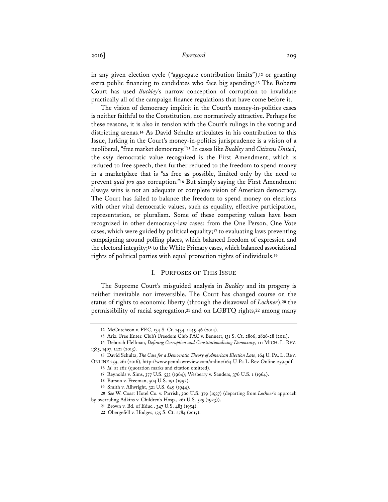# 2016] *Foreword* 209

in any given election cycle ("aggregate contribution limits"),**<sup>12</sup>** or granting extra public financing to candidates who face big spending.**<sup>13</sup>** The Roberts Court has used *Buckley*'s narrow conception of corruption to invalidate practically all of the campaign finance regulations that have come before it.

The vision of democracy implicit in the Court's money-in-politics cases is neither faithful to the Constitution, nor normatively attractive. Perhaps for these reasons, it is also in tension with the Court's rulings in the voting and districting arenas.**<sup>14</sup>** As David Schultz articulates in his contribution to this Issue, lurking in the Court's money-in-politics jurisprudence is a vision of a neoliberal, "free market democracy."**<sup>15</sup>** In cases like *Buckley* and *Citizens United*, the *only* democratic value recognized is the First Amendment, which is reduced to free speech, then further reduced to the freedom to spend money in a marketplace that is "as free as possible, limited only by the need to prevent *quid pro quo* corruption."**<sup>16</sup>** But simply saying the First Amendment always wins is not an adequate or complete vision of American democracy. The Court has failed to balance the freedom to spend money on elections with other vital democratic values, such as equality, effective participation, representation, or pluralism. Some of these competing values have been recognized in other democracy-law cases: from the One Person, One Vote cases, which were guided by political equality;**<sup>17</sup>** to evaluating laws preventing campaigning around polling places, which balanced freedom of expression and the electoral integrity;**<sup>18</sup>** to the White Primary cases, which balanced associational rights of political parties with equal protection rights of individuals.**<sup>19</sup>**

### I. PURPOSES OF THIS ISSUE

The Supreme Court's misguided analysis in *Buckley* and its progeny is neither inevitable nor irreversible. The Court has changed course on the status of rights to economic liberty (through the disavowal of *Lochner*),**<sup>20</sup>** the permissibility of racial segregation,**<sup>21</sup>** and on LGBTQ rights,**<sup>22</sup>** among many

**16** *Id.* at 262 (quotation marks and citation omitted).

**<sup>12</sup>** McCutcheon v. FEC, 134 S. Ct. 1434, 1445-46 (2014).

**<sup>13</sup>** Ariz. Free Enter. Club's Freedom Club PAC v. Bennett, 131 S. Ct. 2806, 2826-28 (2011).

**<sup>14</sup>** Deborah Hellman, *Defining Corruption and Constitutionalizing Democracy*, 111 MICH. L. REV. 1385, 1407, 1421 (2013).

**<sup>15</sup>** David Schultz, *The Case for a Democratic Theory of American Election Law*, 164 U. PA. L. REV. ONLINE 259, 261 (2016), http://www.pennlawreview.com/online/164-U-Pa-L-Rev-Online-259.pdf.

**<sup>17</sup>** Reynolds v. Sims, 377 U.S. 533 (1964); Wesberry v. Sanders, 376 U.S. 1 (1964).

**<sup>18</sup>** Burson v. Freeman, 504 U.S. 191 (1992).

**<sup>19</sup>** Smith v. Allwright, 321 U.S. 649 (1944).

**<sup>20</sup>** *See* W. Coast Hotel Co. v. Parrish, 300 U.S. 379 (1937) (departing from *Lochner*'s approach by overruling Adkins v. Children's Hosp., 261 U.S. 525 (1923)).

**<sup>21</sup>** Brown v. Bd. of Educ., 347 U.S. 483 (1954).

**<sup>22</sup>** Obergefell v. Hodges, 135 S. Ct. 2584 (2015).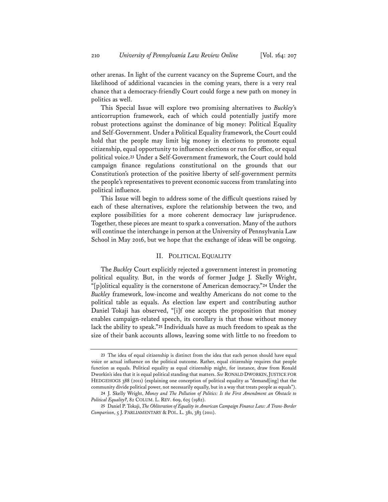other arenas. In light of the current vacancy on the Supreme Court, and the likelihood of additional vacancies in the coming years, there is a very real chance that a democracy-friendly Court could forge a new path on money in politics as well.

This Special Issue will explore two promising alternatives to *Buckley*'s anticorruption framework, each of which could potentially justify more robust protections against the dominance of big money: Political Equality and Self-Government. Under a Political Equality framework, the Court could hold that the people may limit big money in elections to promote equal citizenship, equal opportunity to influence elections or run for office, or equal political voice.**<sup>23</sup>** Under a Self-Government framework, the Court could hold campaign finance regulations constitutional on the grounds that our Constitution's protection of the positive liberty of self-government permits the people's representatives to prevent economic success from translating into political influence.

This Issue will begin to address some of the difficult questions raised by each of these alternatives, explore the relationship between the two, and explore possibilities for a more coherent democracy law jurisprudence. Together, these pieces are meant to spark a conversation. Many of the authors will continue the interchange in person at the University of Pennsylvania Law School in May 2016, but we hope that the exchange of ideas will be ongoing.

### II. POLITICAL EQUALITY

The *Buckley* Court explicitly rejected a government interest in promoting political equality. But, in the words of former Judge J. Skelly Wright, "[p]olitical equality is the cornerstone of American democracy."**<sup>24</sup>** Under the *Buckley* framework, low-income and wealthy Americans do not come to the political table as equals. As election law expert and contributing author Daniel Tokaji has observed, "[i]f one accepts the proposition that money enables campaign-related speech, its corollary is that those without money lack the ability to speak."**<sup>25</sup>** Individuals have as much freedom to speak as the size of their bank accounts allows, leaving some with little to no freedom to

**<sup>23</sup>** The idea of equal citizenship is distinct from the idea that each person should have equal voice or actual influence on the political outcome. Rather, equal citizenship requires that people function as equals. Political equality as equal citizenship might, for instance, draw from Ronald Dworkin's idea that it is equal political standing that matters. *See* RONALD DWORKIN,JUSTICE FOR HEDGEHOGS 388 (2011) (explaining one conception of political equality as "demand[ing] that the community divide political power, not necessarily equally, but in a way that treats people as equals").

**<sup>24</sup>** J. Skelly Wright, *Money and The Pollution of Politics: Is the First Amendment an Obstacle to Political Equality?*, 82 COLUM. L. REV. 609, 625 (1982).

**<sup>25</sup>** Daniel P. Tokaji, *The Obliteration of Equality in American Campaign Finance Law: A Trans-Border Comparison*, 5 J. PARLIAMENTARY & POL. L. 381, 383 (2011).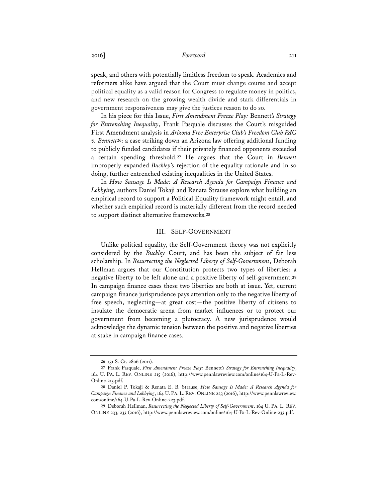# 2016] *Foreword* 211

speak, and others with potentially limitless freedom to speak. Academics and reformers alike have argued that the Court must change course and accept political equality as a valid reason for Congress to regulate money in politics, and new research on the growing wealth divide and stark differentials in government responsiveness may give the justices reason to do so.

In his piece for this Issue, *First Amendment Freeze Play:* Bennett*'s Strategy for Entrenching Inequality*, Frank Pasquale discusses the Court's misguided First Amendment analysis in *Arizona Free Enterprise Club's Freedom Club PAC v. Bennett***<sup>26</sup>**: a case striking down an Arizona law offering additional funding to publicly funded candidates if their privately financed opponents exceeded a certain spending threshold.**<sup>27</sup>** He argues that the Court in *Bennett* improperly expanded *Buckley*'s rejection of the equality rationale and in so doing, further entrenched existing inequalities in the United States.

In *How Sausage Is Made: A Research Agenda for Campaign Finance and Lobbying*, authors Daniel Tokaji and Renata Strause explore what building an empirical record to support a Political Equality framework might entail, and whether such empirical record is materially different from the record needed to support distinct alternative frameworks.**<sup>28</sup>**

### III. SELF-GOVERNMENT

Unlike political equality, the Self-Government theory was not explicitly considered by the *Buckley* Court, and has been the subject of far less scholarship. In *Resurrecting the Neglected Liberty of Self-Government*, Deborah Hellman argues that our Constitution protects two types of liberties: a negative liberty to be left alone and a positive liberty of self-government.**<sup>29</sup>** In campaign finance cases these two liberties are both at issue. Yet, current campaign finance jurisprudence pays attention only to the negative liberty of free speech, neglecting—at great cost—the positive liberty of citizens to insulate the democratic arena from market influences or to protect our government from becoming a plutocracy. A new jurisprudence would acknowledge the dynamic tension between the positive and negative liberties at stake in campaign finance cases.

**<sup>26</sup>** 131 S. Ct. 2806 (2011).

**<sup>27</sup>** Frank Pasquale, *First Amendment Freeze Play:* Bennett*'s Strategy for Entrenching Inequality*, 164 U. PA. L. REV. ONLINE 215 (2016), http://www.pennlawreview.com/online/164-U-Pa-L-Rev-Online-215.pdf.

**<sup>28</sup>** Daniel P. Tokaji & Renata E. B. Strause, *How Sausage Is Made: A Research Agenda for Campaign Finance and Lobbying*, 164 U. PA. L. REV. ONLINE 223 (2016), http://www.pennlawreview. com/online/164-U-Pa-L-Rev-Online-223.pdf.

**<sup>29</sup>** Deborah Hellman, *Resurrecting the Neglected Liberty of Self-Government*, 164 U. PA. L. REV. ONLINE 233, 233 (2016), http://www.pennlawreview.com/online/164-U-Pa-L-Rev-Online-233.pdf.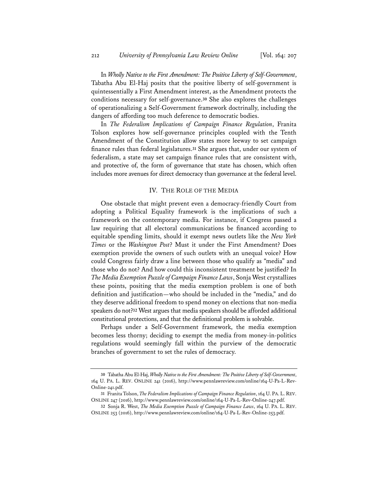In *Wholly Native to the First Amendment: The Positive Liberty of Self-Government*, Tabatha Abu El-Haj posits that the positive liberty of self-government is quintessentially a First Amendment interest, as the Amendment protects the conditions necessary for self-governance.**<sup>30</sup>** She also explores the challenges of operationalizing a Self-Government framework doctrinally, including the dangers of affording too much deference to democratic bodies.

In *The Federalism Implications of Campaign Finance Regulation*, Franita Tolson explores how self-governance principles coupled with the Tenth Amendment of the Constitution allow states more leeway to set campaign finance rules than federal legislatures.**<sup>31</sup>** She argues that, under our system of federalism, a state may set campaign finance rules that are consistent with, and protective of, the form of governance that state has chosen, which often includes more avenues for direct democracy than governance at the federal level.

### IV. THE ROLE OF THE MEDIA

One obstacle that might prevent even a democracy-friendly Court from adopting a Political Equality framework is the implications of such a framework on the contemporary media. For instance, if Congress passed a law requiring that all electoral communications be financed according to equitable spending limits, should it exempt news outlets like the *New York Times* or the *Washington Post*? Must it under the First Amendment? Does exemption provide the owners of such outlets with an unequal voice? How could Congress fairly draw a line between those who qualify as "media" and those who do not? And how could this inconsistent treatment be justified? In *The Media Exemption Puzzle of Campaign Finance Laws*, Sonja West crystallizes these points, positing that the media exemption problem is one of both definition and justification—who should be included in the "media," and do they deserve additional freedom to spend money on elections that non-media speakers do not?**<sup>32</sup>** West argues that media speakers should be afforded additional constitutional protections, and that the definitional problem is solvable.

Perhaps under a Self-Government framework, the media exemption becomes less thorny; deciding to exempt the media from money-in-politics regulations would seemingly fall within the purview of the democratic branches of government to set the rules of democracy.

**<sup>30</sup>** Tabatha Abu El-Haj, *Wholly Native to the First Amendment: The Positive Liberty of Self-Government*, 164 U. PA. L. REV. ONLINE 241 (2016), http://www.pennlawreview.com/online/164-U-Pa-L-Rev-Online-241.pdf.

**<sup>31</sup>** Franita Tolson, *The Federalism Implications of Campaign Finance Regulation*, 164 U. PA. L. REV. ONLINE 247 (2016), http://www.pennlawreview.com/online/164-U-Pa-L-Rev-Online-247.pdf.

**<sup>32</sup>** Sonja R. West, *The Media Exemption Puzzle of Campaign Finance Laws*, 164 U. PA. L. REV. ONLINE 253 (2016), http://www.pennlawreview.com/online/164-U-Pa-L-Rev-Online-253.pdf.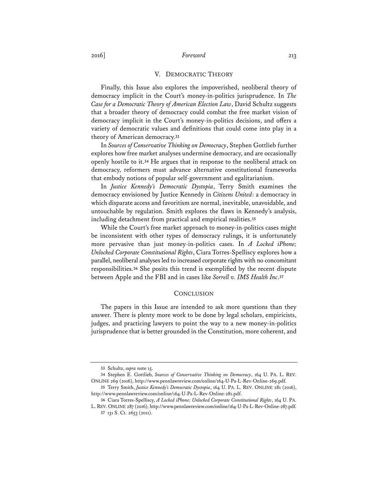# 2016] *Foreword* 213

#### V. DEMOCRATIC THEORY

Finally, this Issue also explores the impoverished, neoliberal theory of democracy implicit in the Court's money-in-politics jurisprudence. In *The Case for a Democratic Theory of American Election Law*, David Schultz suggests that a broader theory of democracy could combat the free market vision of democracy implicit in the Court's money-in-politics decisions, and offers a variety of democratic values and definitions that could come into play in a theory of American democracy.**<sup>33</sup>**

In *Sources of Conservative Thinking on Democracy*, Stephen Gottlieb further explores how free market analyses undermine democracy, and are occasionally openly hostile to it.**<sup>34</sup>** He argues that in response to the neoliberal attack on democracy, reformers must advance alternative constitutional frameworks that embody notions of popular self-government and egalitarianism.

In *Justice Kennedy's Democratic Dystopia*, Terry Smith examines the democracy envisioned by Justice Kennedy in *Citizens United*: a democracy in which disparate access and favoritism are normal, inevitable, unavoidable, and untouchable by regulation. Smith explores the flaws in Kennedy's analysis, including detachment from practical and empirical realities.**<sup>35</sup>**

While the Court's free market approach to money-in-politics cases might be inconsistent with other types of democracy rulings, it is unfortunately more pervasive than just money-in-politics cases. In *A Locked iPhone; Unlocked Corporate Constitutional Rights*, Ciara Torres-Spelliscy explores how a parallel, neoliberal analyses led to increased corporate rights with no concomitant responsibilities.**<sup>36</sup>** She posits this trend is exemplified by the recent dispute between Apple and the FBI and in cases like *Sorrell v. IMS Health Inc*.**<sup>37</sup>**

#### **CONCLUSION**

 The papers in this Issue are intended to ask more questions than they answer. There is plenty more work to be done by legal scholars, empiricists, judges, and practicing lawyers to point the way to a new money-in-politics jurisprudence that is better grounded in the Constitution, more coherent, and

**<sup>33</sup>** Schultz, *supra* note 15.

**<sup>34</sup>** Stephen E. Gottlieb, *Sources of Conservative Thinking on Democracy*, 164 U. PA. L. REV. ONLINE 269 (2016), http://www.pennlawreview.com/online/164-U-Pa-L-Rev-Online-269.pdf.

**<sup>35</sup>** Terry Smith, *Justice Kennedy's Democratic Dystopia*, 164 U. PA. L. REV. ONLINE 281 (2016), http://www.pennlawreview.com/online/164-U-Pa-L-Rev-Online-281.pdf.

**<sup>36</sup>** Ciara Torres-Spelliscy, *A Locked iPhone; Unlocked Corporate Constitutional Rights*, 164 U. PA. L. REV. ONLINE 287 (2016), http://www.pennlawreview.com/online/164-U-Pa-L-Rev-Online-287.pdf.

**<sup>37</sup>** 131 S. Ct. 2653 (2011).